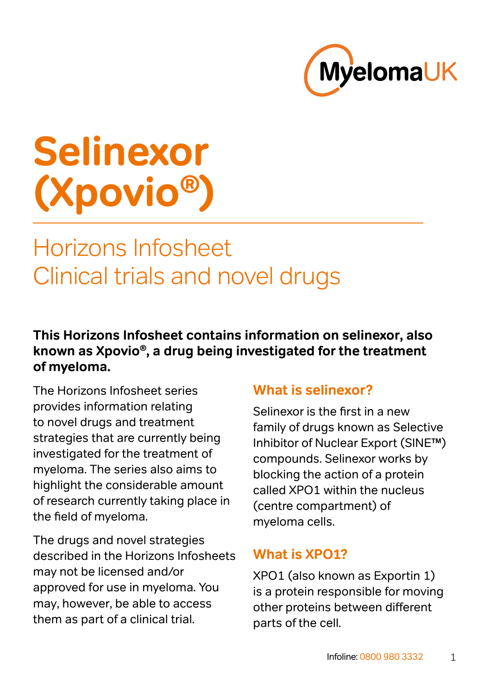

# **Selinexor (Xpovio®)**

# Horizons Infosheet Clinical trials and novel drugs

## **This Horizons Infosheet contains information on selinexor, also known as Xpovio®, a drug being investigated for the treatment of myeloma.**

The Horizons Infosheet series provides information relating to novel drugs and treatment strategies that are currently being investigated for the treatment of myeloma. The series also aims to highlight the considerable amount of research currently taking place in the field of myeloma.

The drugs and novel strategies described in the Horizons Infosheets may not be licensed and/or approved for use in myeloma. You may, however, be able to access them as part of a clinical trial.

# **What is selinexor?**

Selinexor is the first in a new family of drugs known as Selective Inhibitor of Nuclear Export (SINE™) compounds. Selinexor works by blocking the action of a protein called XPO1 within the nucleus (centre compartment) of myeloma cells.

## **What is XPO1?**

XPO1 (also known as Exportin 1) is a protein responsible for moving other proteins between different parts of the cell.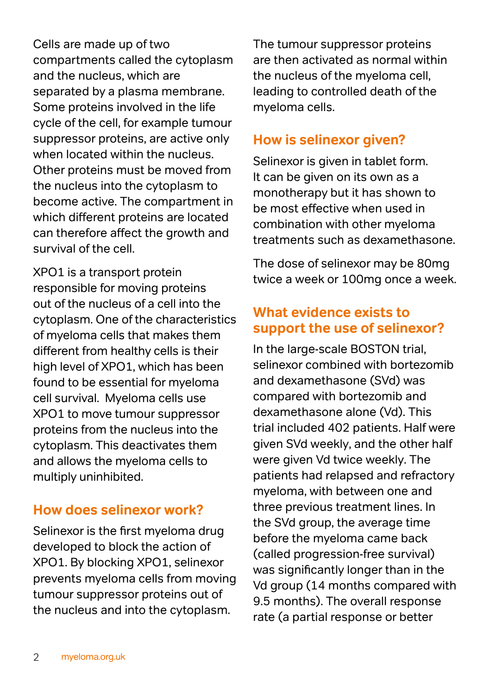Cells are made up of two compartments called the cytoplasm and the nucleus, which are separated by a plasma membrane. Some proteins involved in the life cycle of the cell, for example tumour suppressor proteins, are active only when located within the nucleus. Other proteins must be moved from the nucleus into the cytoplasm to become active. The compartment in which different proteins are located can therefore affect the growth and survival of the cell.

XPO1 is a transport protein responsible for moving proteins out of the nucleus of a cell into the cytoplasm. One of the characteristics of myeloma cells that makes them different from healthy cells is their high level of XPO1, which has been found to be essential for myeloma cell survival. Myeloma cells use XPO1 to move tumour suppressor proteins from the nucleus into the cytoplasm. This deactivates them and allows the myeloma cells to multiply uninhibited.

#### **How does selinexor work?**

Selinexor is the first myeloma drug developed to block the action of XPO1. By blocking XPO1, selinexor prevents myeloma cells from moving tumour suppressor proteins out of the nucleus and into the cytoplasm.

The tumour suppressor proteins are then activated as normal within the nucleus of the myeloma cell, leading to controlled death of the myeloma cells.

# **How is selinexor given?**

Selinexor is given in tablet form. It can be given on its own as a monotherapy but it has shown to be most effective when used in combination with other myeloma treatments such as dexamethasone.

The dose of selinexor may be 80mg twice a week or 100mg once a week.

# **What evidence exists to support the use of selinexor?**

In the large-scale BOSTON trial, selinexor combined with bortezomib and dexamethasone (SVd) was compared with bortezomib and dexamethasone alone (Vd). This trial included 402 patients. Half were given SVd weekly, and the other half were given Vd twice weekly. The patients had relapsed and refractory myeloma, with between one and three previous treatment lines. In the SVd group, the average time before the myeloma came back (called progression-free survival) was significantly longer than in the Vd group (14 months compared with 9.5 months). The overall response rate (a partial response or better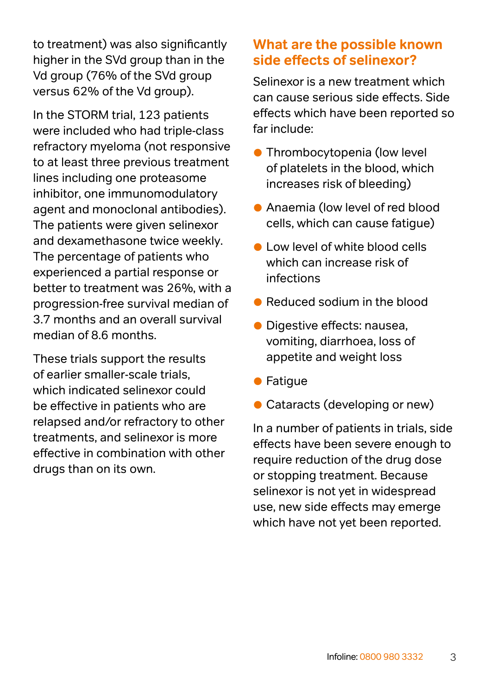to treatment) was also significantly higher in the SVd group than in the Vd group (76% of the SVd group versus 62% of the Vd group).

In the STORM trial, 123 patients were included who had triple-class refractory myeloma (not responsive to at least three previous treatment lines including one proteasome inhibitor, one immunomodulatory agent and monoclonal antibodies). The patients were given selinexor and dexamethasone twice weekly. The percentage of patients who experienced a partial response or better to treatment was 26%, with a progression-free survival median of 3.7 months and an overall survival median of 8.6 months.

These trials support the results of earlier smaller-scale trials, which indicated selinexor could be effective in patients who are relapsed and/or refractory to other treatments, and selinexor is more effective in combination with other drugs than on its own.

## **What are the possible known side effects of selinexor?**

Selinexor is a new treatment which can cause serious side effects. Side effects which have been reported so far include:

- **Thrombocytopenia (low level)** of platelets in the blood, which increases risk of bleeding)
- Anaemia (low level of red blood cells, which can cause fatigue)
- **Low level of white blood cells** which can increase risk of infections
- Reduced sodium in the blood
- Digestive effects: nausea, vomiting, diarrhoea, loss of appetite and weight loss
- **•** Fatigue
- Cataracts (developing or new)

In a number of patients in trials, side effects have been severe enough to require reduction of the drug dose or stopping treatment. Because selinexor is not yet in widespread use, new side effects may emerge which have not yet been reported.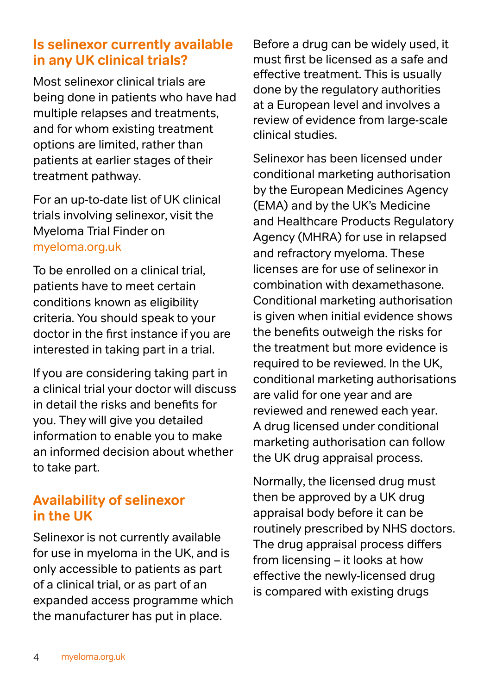## **Is selinexor currently available in any UK clinical trials?**

Most selinexor clinical trials are being done in patients who have had multiple relapses and treatments, and for whom existing treatment options are limited, rather than patients at earlier stages of their treatment pathway.

For an up-to-date list of UK clinical trials involving selinexor, visit the Myeloma Trial Finder on [myeloma.org.uk](http://myeloma.org.uk)

To be enrolled on a clinical trial, patients have to meet certain conditions known as eligibility criteria. You should speak to your doctor in the first instance if you are interested in taking part in a trial.

If you are considering taking part in a clinical trial your doctor will discuss in detail the risks and benefits for you. They will give you detailed information to enable you to make an informed decision about whether to take part.

# **Availability of selinexor in the UK**

Selinexor is not currently available for use in myeloma in the UK, and is only accessible to patients as part of a clinical trial, or as part of an expanded access programme which the manufacturer has put in place.

Before a drug can be widely used, it must first be licensed as a safe and effective treatment. This is usually done by the regulatory authorities at a European level and involves a review of evidence from large-scale clinical studies.

Selinexor has been licensed under conditional marketing authorisation by the European Medicines Agency (EMA) and by the UK's Medicine and Healthcare Products Regulatory Agency (MHRA) for use in relapsed and refractory myeloma. These licenses are for use of selinexor in combination with dexamethasone. Conditional marketing authorisation is given when initial evidence shows the benefits outweigh the risks for the treatment but more evidence is required to be reviewed. In the UK, conditional marketing authorisations are valid for one year and are reviewed and renewed each year. A drug licensed under conditional marketing authorisation can follow the UK drug appraisal process.

Normally, the licensed drug must then be approved by a UK drug appraisal body before it can be routinely prescribed by NHS doctors. The drug appraisal process differs from licensing – it looks at how effective the newly-licensed drug is compared with existing drugs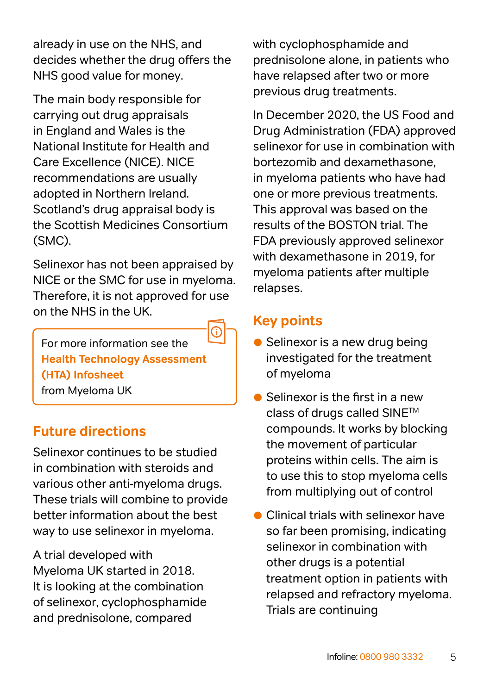already in use on the NHS, and decides whether the drug offers the NHS good value for money.

The main body responsible for carrying out drug appraisals in England and Wales is the National Institute for Health and Care Excellence (NICE). NICE recommendations are usually adopted in Northern Ireland. Scotland's drug appraisal body is the Scottish Medicines Consortium (SMC).

Selinexor has not been appraised by NICE or the SMC for use in myeloma. Therefore, it is not approved for use on the NHS in the UK.

For more information see the **[Health Technology Assessment](https://www.myeloma.org.uk/documents/health-technology-assessment/)  [\(HTA\) Infosheet](https://www.myeloma.org.uk/documents/health-technology-assessment/)** from Myeloma UK

# **Future directions**

Selinexor continues to be studied in combination with steroids and various other anti-myeloma drugs. These trials will combine to provide better information about the best way to use selinexor in myeloma.

A trial developed with Myeloma UK started in 2018. It is looking at the combination of selinexor, cyclophosphamide and prednisolone, compared

with cyclophosphamide and prednisolone alone, in patients who have relapsed after two or more previous drug treatments.

In December 2020, the US Food and Drug Administration (FDA) approved selinexor for use in combination with bortezomib and dexamethasone, in myeloma patients who have had one or more previous treatments. This approval was based on the results of the BOSTON trial. The FDA previously approved selinexor with dexamethasone in 2019, for myeloma patients after multiple relapses.

## **Key points**

- Selinexor is a new drug being investigated for the treatment of myeloma
- Selinexor is the first in a new class of drugs called SINETM compounds. It works by blocking the movement of particular proteins within cells. The aim is to use this to stop myeloma cells from multiplying out of control
- **Clinical trials with selinexor have** so far been promising, indicating selinexor in combination with other drugs is a potential treatment option in patients with relapsed and refractory myeloma. Trials are continuing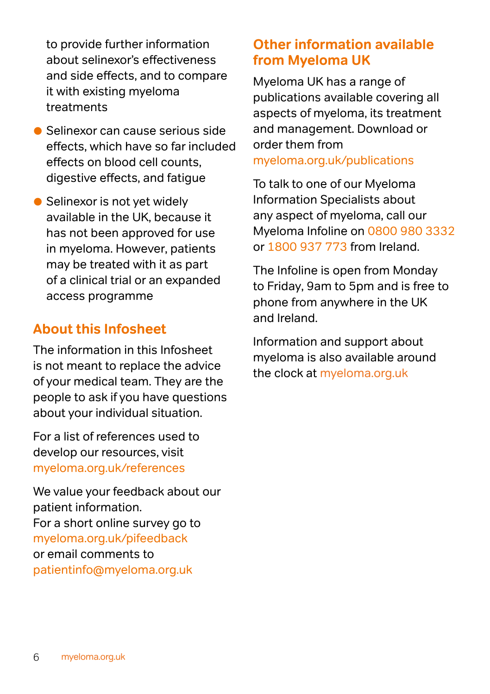to provide further information about selinexor's effectiveness and side effects, and to compare it with existing myeloma treatments

- Selinexor can cause serious side effects, which have so far included effects on blood cell counts, digestive effects, and fatigue
- Selinexor is not yet widely available in the UK, because it has not been approved for use in myeloma. However, patients may be treated with it as part of a clinical trial or an expanded access programme

## **About this Infosheet**

The information in this Infosheet is not meant to replace the advice of your medical team. They are the people to ask if you have questions about your individual situation.

For a list of references used to develop our resources, visit [myeloma.org.uk/references](http://myeloma.org.uk/references) 

We value your feedback about our patient information. For a short online survey go to [myeloma.org.uk/pifeedback](http://myeloma.org.uk/pifeedback)  or email comments to patientinfo[@myeloma.org.uk](mailto:patientinfo%40myeloma.org.uk%0D?subject=)

## **Other information available from Myeloma UK**

Myeloma UK has a range of publications available covering all aspects of myeloma, its treatment and management. Download or order them from [myeloma.org.uk/publications](http://myeloma.org.uk/publications)

To talk to one of our Myeloma Information Specialists about any aspect of myeloma, call our Myeloma Infoline on [0800 980 3332](tel:08009803332) or [1800 937 773](tel:1800937773) from Ireland.

The Infoline is open from Monday to Friday, 9am to 5pm and is free to phone from anywhere in the UK and Ireland.

Information and support about myeloma is also available around the clock at [myeloma.org.uk](http://www.myeloma.org.uk/)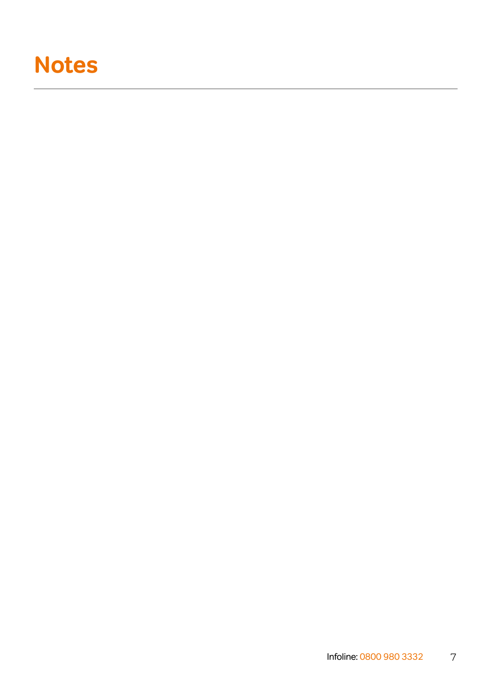# **Notes**